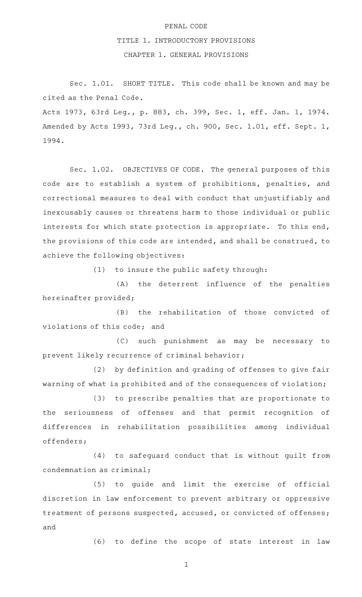## PENAL CODE

## TITLE 1. INTRODUCTORY PROVISIONS

CHAPTER 1. GENERAL PROVISIONS

Sec. 1.01. SHORT TITLE. This code shall be known and may be cited as the Penal Code.

Acts 1973, 63rd Leg., p. 883, ch. 399, Sec. 1, eff. Jan. 1, 1974. Amended by Acts 1993, 73rd Leg., ch. 900, Sec. 1.01, eff. Sept. 1, 1994.

Sec. 1.02. OBJECTIVES OF CODE. The general purposes of this code are to establish a system of prohibitions, penalties, and correctional measures to deal with conduct that unjustifiably and inexcusably causes or threatens harm to those individual or public interests for which state protection is appropriate. To this end, the provisions of this code are intended, and shall be construed, to achieve the following objectives:

 $(1)$  to insure the public safety through:

(A) the deterrent influence of the penalties hereinafter provided;

(B) the rehabilitation of those convicted of violations of this code; and

(C) such punishment as may be necessary to prevent likely recurrence of criminal behavior;

(2) by definition and grading of offenses to give fair warning of what is prohibited and of the consequences of violation;

(3) to prescribe penalties that are proportionate to the seriousness of offenses and that permit recognition of differences in rehabilitation possibilities among individual offenders;

 $(4)$  to safeguard conduct that is without guilt from condemnation as criminal;

(5) to guide and limit the exercise of official discretion in law enforcement to prevent arbitrary or oppressive treatment of persons suspected, accused, or convicted of offenses; and

(6) to define the scope of state interest in law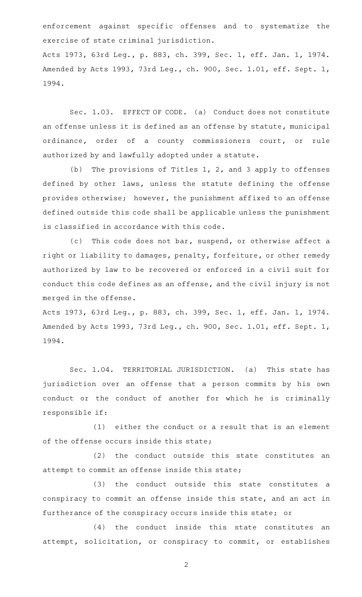enforcement against specific offenses and to systematize the exercise of state criminal jurisdiction.

Acts 1973, 63rd Leg., p. 883, ch. 399, Sec. 1, eff. Jan. 1, 1974. Amended by Acts 1993, 73rd Leg., ch. 900, Sec. 1.01, eff. Sept. 1, 1994.

Sec. 1.03. EFFECT OF CODE. (a) Conduct does not constitute an offense unless it is defined as an offense by statute, municipal ordinance, order of a county commissioners court, or rule authorized by and lawfully adopted under a statute.

(b) The provisions of Titles  $1, 2,$  and 3 apply to offenses defined by other laws, unless the statute defining the offense provides otherwise; however, the punishment affixed to an offense defined outside this code shall be applicable unless the punishment is classified in accordance with this code.

(c) This code does not bar, suspend, or otherwise affect a right or liability to damages, penalty, forfeiture, or other remedy authorized by law to be recovered or enforced in a civil suit for conduct this code defines as an offense, and the civil injury is not merged in the offense.

Acts 1973, 63rd Leg., p. 883, ch. 399, Sec. 1, eff. Jan. 1, 1974. Amended by Acts 1993, 73rd Leg., ch. 900, Sec. 1.01, eff. Sept. 1, 1994.

Sec. 1.04. TERRITORIAL JURISDICTION. (a) This state has jurisdiction over an offense that a person commits by his own conduct or the conduct of another for which he is criminally responsible if:

 $(1)$  either the conduct or a result that is an element of the offense occurs inside this state;

(2) the conduct outside this state constitutes an attempt to commit an offense inside this state;

(3) the conduct outside this state constitutes a conspiracy to commit an offense inside this state, and an act in furtherance of the conspiracy occurs inside this state; or

 $(4)$  the conduct inside this state constitutes an attempt, solicitation, or conspiracy to commit, or establishes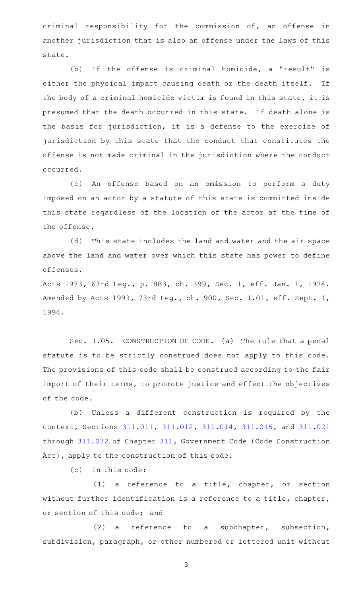criminal responsibility for the commission of, an offense in another jurisdiction that is also an offense under the laws of this state.

(b) If the offense is criminal homicide, a "result" is either the physical impact causing death or the death itself. If the body of a criminal homicide victim is found in this state, it is presumed that the death occurred in this state. If death alone is the basis for jurisdiction, it is a defense to the exercise of jurisdiction by this state that the conduct that constitutes the offense is not made criminal in the jurisdiction where the conduct occurred.

(c) An offense based on an omission to perform a duty imposed on an actor by a statute of this state is committed inside this state regardless of the location of the actor at the time of the offense.

(d) This state includes the land and water and the air space above the land and water over which this state has power to define offenses.

Acts 1973, 63rd Leg., p. 883, ch. 399, Sec. 1, eff. Jan. 1, 1974. Amended by Acts 1993, 73rd Leg., ch. 900, Sec. 1.01, eff. Sept. 1, 1994.

Sec. 1.05. CONSTRUCTION OF CODE. (a) The rule that a penal statute is to be strictly construed does not apply to this code. The provisions of this code shall be construed according to the fair import of their terms, to promote justice and effect the objectives of the code.

(b) Unless a different construction is required by the context, Sections [311.011](https://statutes.capitol.texas.gov/GetStatute.aspx?Code=GV&Value=311.011), [311.012,](https://statutes.capitol.texas.gov/GetStatute.aspx?Code=GV&Value=311.012) [311.014,](https://statutes.capitol.texas.gov/GetStatute.aspx?Code=GV&Value=311.014) [311.015](https://statutes.capitol.texas.gov/GetStatute.aspx?Code=GV&Value=311.015), and [311.021](https://statutes.capitol.texas.gov/GetStatute.aspx?Code=GV&Value=311.021) through [311.032](https://statutes.capitol.texas.gov/GetStatute.aspx?Code=GV&Value=311.032) of Chapter [311](https://statutes.capitol.texas.gov/GetStatute.aspx?Code=GV&Value=311), Government Code (Code Construction Act), apply to the construction of this code.

(c) In this code:

(1) a reference to a title, chapter, or section without further identification is a reference to a title, chapter, or section of this code; and

(2) a reference to a subchapter, subsection, subdivision, paragraph, or other numbered or lettered unit without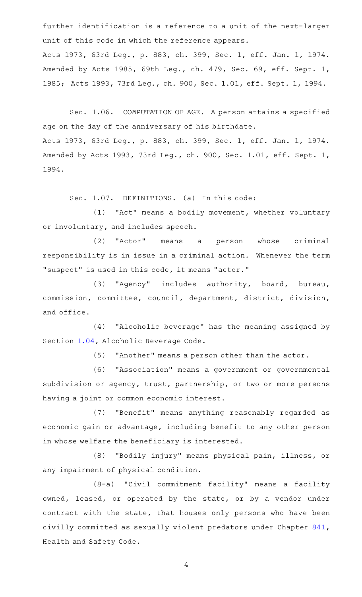further identification is a reference to a unit of the next-larger unit of this code in which the reference appears. Acts 1973, 63rd Leg., p. 883, ch. 399, Sec. 1, eff. Jan. 1, 1974. Amended by Acts 1985, 69th Leg., ch. 479, Sec. 69, eff. Sept. 1, 1985; Acts 1993, 73rd Leg., ch. 900, Sec. 1.01, eff. Sept. 1, 1994.

Sec. 1.06. COMPUTATION OF AGE. A person attains a specified age on the day of the anniversary of his birthdate. Acts 1973, 63rd Leg., p. 883, ch. 399, Sec. 1, eff. Jan. 1, 1974. Amended by Acts 1993, 73rd Leg., ch. 900, Sec. 1.01, eff. Sept. 1, 1994.

Sec. 1.07. DEFINITIONS. (a) In this code:

(1) "Act" means a bodily movement, whether voluntary or involuntary, and includes speech.

(2) "Actor" means a person whose criminal responsibility is in issue in a criminal action. Whenever the term "suspect" is used in this code, it means "actor."

(3) "Agency" includes authority, board, bureau, commission, committee, council, department, district, division, and office.

(4) "Alcoholic beverage" has the meaning assigned by Section [1.04](https://statutes.capitol.texas.gov/GetStatute.aspx?Code=AL&Value=1.04), Alcoholic Beverage Code.

(5) "Another" means a person other than the actor.

(6) "Association" means a government or governmental subdivision or agency, trust, partnership, or two or more persons having a joint or common economic interest.

(7) "Benefit" means anything reasonably regarded as economic gain or advantage, including benefit to any other person in whose welfare the beneficiary is interested.

(8) "Bodily injury" means physical pain, illness, or any impairment of physical condition.

(8-a) "Civil commitment facility" means a facility owned, leased, or operated by the state, or by a vendor under contract with the state, that houses only persons who have been civilly committed as sexually violent predators under Chapter [841](https://statutes.capitol.texas.gov/GetStatute.aspx?Code=HS&Value=841), Health and Safety Code.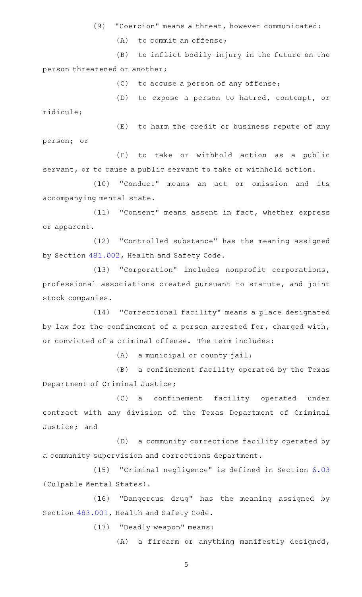- (9) "Coercion" means a threat, however communicated:
	- $(A)$  to commit an offense;

(B) to inflict bodily injury in the future on the person threatened or another;

 $(C)$  to accuse a person of any offense;

(D) to expose a person to hatred, contempt, or ridicule;

(E) to harm the credit or business repute of any person; or

(F) to take or withhold action as a public servant, or to cause a public servant to take or withhold action.

(10) "Conduct" means an act or omission and its accompanying mental state.

(11) "Consent" means assent in fact, whether express or apparent.

(12) "Controlled substance" has the meaning assigned by Section [481.002,](https://statutes.capitol.texas.gov/GetStatute.aspx?Code=HS&Value=481.002) Health and Safety Code.

(13) "Corporation" includes nonprofit corporations, professional associations created pursuant to statute, and joint stock companies.

(14) "Correctional facility" means a place designated by law for the confinement of a person arrested for, charged with, or convicted of a criminal offense. The term includes:

 $(A)$  a municipal or county jail;

(B) a confinement facility operated by the Texas Department of Criminal Justice;

(C) a confinement facility operated under contract with any division of the Texas Department of Criminal Justice; and

(D) a community corrections facility operated by a community supervision and corrections department.

(15) "Criminal negligence" is defined in Section [6.03](https://statutes.capitol.texas.gov/GetStatute.aspx?Code=PE&Value=6.03) (Culpable Mental States).

(16) "Dangerous drug" has the meaning assigned by Section [483.001,](https://statutes.capitol.texas.gov/GetStatute.aspx?Code=HS&Value=483.001) Health and Safety Code.

(17) "Deadly weapon" means:

(A) a firearm or anything manifestly designed,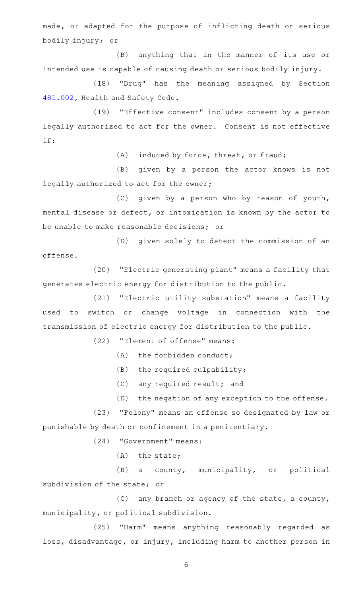made, or adapted for the purpose of inflicting death or serious bodily injury; or

(B) anything that in the manner of its use or intended use is capable of causing death or serious bodily injury.

(18) "Drug" has the meaning assigned by Section [481.002,](https://statutes.capitol.texas.gov/GetStatute.aspx?Code=HS&Value=481.002) Health and Safety Code.

(19) "Effective consent" includes consent by a person legally authorized to act for the owner. Consent is not effective if:

(A) induced by force, threat, or fraud;

(B) given by a person the actor knows is not legally authorized to act for the owner;

(C) given by a person who by reason of youth, mental disease or defect, or intoxication is known by the actor to be unable to make reasonable decisions; or

(D) given solely to detect the commission of an offense.

(20) "Electric generating plant" means a facility that generates electric energy for distribution to the public.

(21) "Electric utility substation" means a facility used to switch or change voltage in connection with the transmission of electric energy for distribution to the public.

(22) "Element of offense" means:

 $(A)$  the forbidden conduct;

- $(B)$  the required culpability;
- (C) any required result; and

(D) the negation of any exception to the offense.

(23) "Felony" means an offense so designated by law or punishable by death or confinement in a penitentiary.

(24) "Government" means:

 $(A)$  the state;

(B) a county, municipality, or political subdivision of the state; or

 $(C)$  any branch or agency of the state, a county, municipality, or political subdivision.

(25) "Harm" means anything reasonably regarded as loss, disadvantage, or injury, including harm to another person in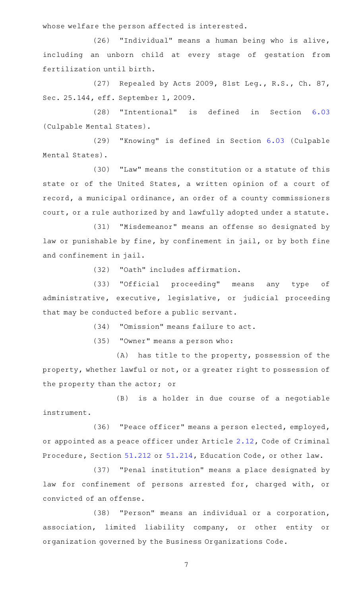whose welfare the person affected is interested.

(26) "Individual" means a human being who is alive, including an unborn child at every stage of gestation from fertilization until birth.

(27) Repealed by Acts 2009, 81st Leg., R.S., Ch. 87, Sec. 25.144, eff. September 1, 2009.

(28) "Intentional" is defined in Section [6.03](https://statutes.capitol.texas.gov/GetStatute.aspx?Code=PE&Value=6.03) (Culpable Mental States).

(29) "Knowing" is defined in Section [6.03](https://statutes.capitol.texas.gov/GetStatute.aspx?Code=PE&Value=6.03) (Culpable Mental States).

(30) "Law" means the constitution or a statute of this state or of the United States, a written opinion of a court of record, a municipal ordinance, an order of a county commissioners court, or a rule authorized by and lawfully adopted under a statute.

(31) "Misdemeanor" means an offense so designated by law or punishable by fine, by confinement in jail, or by both fine and confinement in jail.

(32) "Oath" includes affirmation.

(33) "Official proceeding" means any type of administrative, executive, legislative, or judicial proceeding that may be conducted before a public servant.

(34) "Omission" means failure to act.

(35) "Owner" means a person who:

 $(A)$  has title to the property, possession of the property, whether lawful or not, or a greater right to possession of the property than the actor; or

(B) is a holder in due course of a negotiable instrument.

(36) "Peace officer" means a person elected, employed, or appointed as a peace officer under Article [2.12,](https://statutes.capitol.texas.gov/GetStatute.aspx?Code=CR&Value=2.12) Code of Criminal Procedure, Section [51.212](https://statutes.capitol.texas.gov/GetStatute.aspx?Code=ED&Value=51.212) or [51.214](https://statutes.capitol.texas.gov/GetStatute.aspx?Code=ED&Value=51.214), Education Code, or other law.

(37) "Penal institution" means a place designated by law for confinement of persons arrested for, charged with, or convicted of an offense.

(38) "Person" means an individual or a corporation, association, limited liability company, or other entity or organization governed by the Business Organizations Code.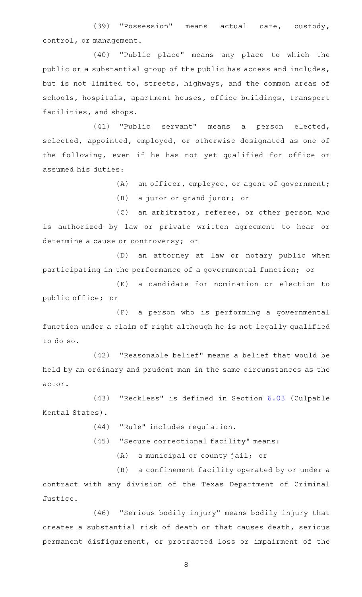(39) "Possession" means actual care, custody, control, or management.

(40) "Public place" means any place to which the public or a substantial group of the public has access and includes, but is not limited to, streets, highways, and the common areas of schools, hospitals, apartment houses, office buildings, transport facilities, and shops.

(41) "Public servant" means a person elected, selected, appointed, employed, or otherwise designated as one of the following, even if he has not yet qualified for office or assumed his duties:

(A) an officer, employee, or agent of government;

(B) a juror or grand juror; or

(C) an arbitrator, referee, or other person who is authorized by law or private written agreement to hear or determine a cause or controversy; or

(D) an attorney at law or notary public when participating in the performance of a governmental function; or

(E) a candidate for nomination or election to public office; or

(F) a person who is performing a governmental function under a claim of right although he is not legally qualified to do so.

 $(42)$  "Reasonable belief" means a belief that would be held by an ordinary and prudent man in the same circumstances as the actor.

(43) "Reckless" is defined in Section [6.03](https://statutes.capitol.texas.gov/GetStatute.aspx?Code=PE&Value=6.03) (Culpable Mental States).

- (44) "Rule" includes regulation.
- (45) "Secure correctional facility" means:

(A) a municipal or county jail; or

(B) a confinement facility operated by or under a contract with any division of the Texas Department of Criminal Justice.

(46) "Serious bodily injury" means bodily injury that creates a substantial risk of death or that causes death, serious permanent disfigurement, or protracted loss or impairment of the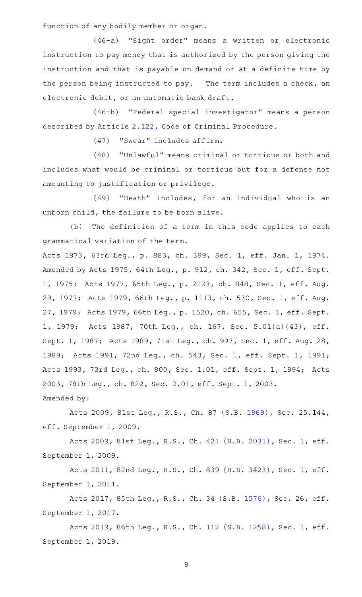function of any bodily member or organ.

(46-a) "Sight order" means a written or electronic instruction to pay money that is authorized by the person giving the instruction and that is payable on demand or at a definite time by the person being instructed to pay. The term includes a check, an electronic debit, or an automatic bank draft.

(46-b) "Federal special investigator" means a person described by Article [2.122,](https://statutes.capitol.texas.gov/GetStatute.aspx?Code=CR&Value=2.122) Code of Criminal Procedure.

(47) "Swear" includes affirm.

(48) "Unlawful" means criminal or tortious or both and includes what would be criminal or tortious but for a defense not amounting to justification or privilege.

(49) "Death" includes, for an individual who is an unborn child, the failure to be born alive.

(b) The definition of a term in this code applies to each grammatical variation of the term.

Acts 1973, 63rd Leg., p. 883, ch. 399, Sec. 1, eff. Jan. 1, 1974. Amended by Acts 1975, 64th Leg., p. 912, ch. 342, Sec. 1, eff. Sept. 1, 1975; Acts 1977, 65th Leg., p. 2123, ch. 848, Sec. 1, eff. Aug. 29, 1977; Acts 1979, 66th Leg., p. 1113, ch. 530, Sec. 1, eff. Aug. 27, 1979; Acts 1979, 66th Leg., p. 1520, ch. 655, Sec. 1, eff. Sept. 1, 1979; Acts 1987, 70th Leg., ch. 167, Sec. 5.01(a)(43), eff. Sept. 1, 1987; Acts 1989, 71st Leg., ch. 997, Sec. 1, eff. Aug. 28, 1989; Acts 1991, 72nd Leg., ch. 543, Sec. 1, eff. Sept. 1, 1991; Acts 1993, 73rd Leg., ch. 900, Sec. 1.01, eff. Sept. 1, 1994; Acts 2003, 78th Leg., ch. 822, Sec. 2.01, eff. Sept. 1, 2003. Amended by:

Acts 2009, 81st Leg., R.S., Ch. 87 (S.B. [1969](http://www.legis.state.tx.us/tlodocs/81R/billtext/html/SB01969F.HTM)), Sec. 25.144, eff. September 1, 2009.

Acts 2009, 81st Leg., R.S., Ch. 421 (H.B. [2031](http://www.legis.state.tx.us/tlodocs/81R/billtext/html/HB02031F.HTM)), Sec. 1, eff. September 1, 2009.

Acts 2011, 82nd Leg., R.S., Ch. 839 (H.B. [3423](http://www.legis.state.tx.us/tlodocs/82R/billtext/html/HB03423F.HTM)), Sec. 1, eff. September 1, 2011.

Acts 2017, 85th Leg., R.S., Ch. 34 (S.B. [1576\)](http://www.legis.state.tx.us/tlodocs/85R/billtext/html/SB01576F.HTM), Sec. 26, eff. September 1, 2017.

Acts 2019, 86th Leg., R.S., Ch. 112 (S.B. [1258](http://www.legis.state.tx.us/tlodocs/86R/billtext/html/SB01258F.HTM)), Sec. 1, eff. September 1, 2019.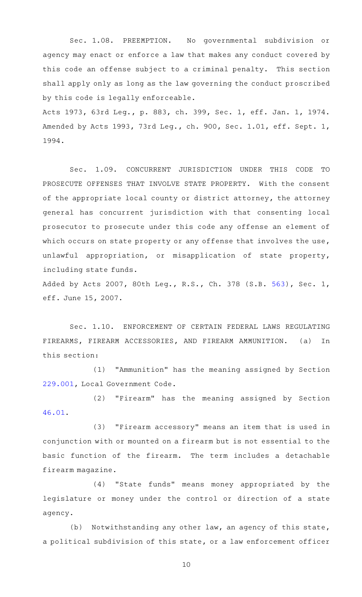Sec. 1.08. PREEMPTION. No governmental subdivision or agency may enact or enforce a law that makes any conduct covered by this code an offense subject to a criminal penalty. This section shall apply only as long as the law governing the conduct proscribed by this code is legally enforceable.

Acts 1973, 63rd Leg., p. 883, ch. 399, Sec. 1, eff. Jan. 1, 1974. Amended by Acts 1993, 73rd Leg., ch. 900, Sec. 1.01, eff. Sept. 1, 1994.

Sec. 1.09. CONCURRENT JURISDICTION UNDER THIS CODE TO PROSECUTE OFFENSES THAT INVOLVE STATE PROPERTY. With the consent of the appropriate local county or district attorney, the attorney general has concurrent jurisdiction with that consenting local prosecutor to prosecute under this code any offense an element of which occurs on state property or any offense that involves the use, unlawful appropriation, or misapplication of state property, including state funds.

Added by Acts 2007, 80th Leg., R.S., Ch. 378 (S.B. [563](http://www.legis.state.tx.us/tlodocs/80R/billtext/html/SB00563F.HTM)), Sec. 1, eff. June 15, 2007.

Sec. 1.10. ENFORCEMENT OF CERTAIN FEDERAL LAWS REGULATING FIREARMS, FIREARM ACCESSORIES, AND FIREARM AMMUNITION. (a) In this section:

(1) "Ammunition" has the meaning assigned by Section [229.001,](https://statutes.capitol.texas.gov/GetStatute.aspx?Code=LG&Value=229.001) Local Government Code.

(2) "Firearm" has the meaning assigned by Section [46.01.](https://statutes.capitol.texas.gov/GetStatute.aspx?Code=PE&Value=46.01)

(3) "Firearm accessory" means an item that is used in conjunction with or mounted on a firearm but is not essential to the basic function of the firearm. The term includes a detachable firearm magazine.

(4) "State funds" means money appropriated by the legislature or money under the control or direction of a state agency.

(b) Notwithstanding any other law, an agency of this state, a political subdivision of this state, or a law enforcement officer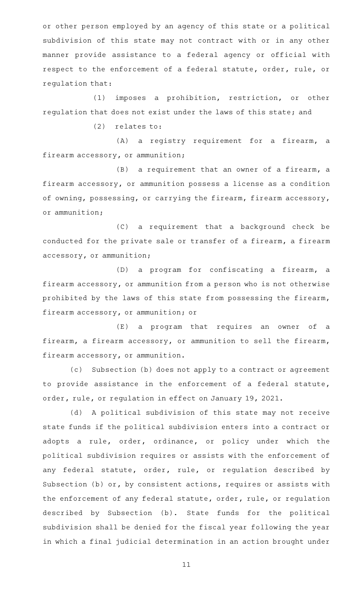or other person employed by an agency of this state or a political subdivision of this state may not contract with or in any other manner provide assistance to a federal agency or official with respect to the enforcement of a federal statute, order, rule, or regulation that:

(1) imposes a prohibition, restriction, or other regulation that does not exist under the laws of this state; and

 $(2)$  relates to:

(A) a registry requirement for a firearm, a firearm accessory, or ammunition;

 $(B)$  a requirement that an owner of a firearm, a firearm accessory, or ammunition possess a license as a condition of owning, possessing, or carrying the firearm, firearm accessory, or ammunition;

(C) a requirement that a background check be conducted for the private sale or transfer of a firearm, a firearm accessory, or ammunition;

(D) a program for confiscating a firearm, a firearm accessory, or ammunition from a person who is not otherwise prohibited by the laws of this state from possessing the firearm, firearm accessory, or ammunition; or

(E) a program that requires an owner of a firearm, a firearm accessory, or ammunition to sell the firearm, firearm accessory, or ammunition.

(c) Subsection (b) does not apply to a contract or agreement to provide assistance in the enforcement of a federal statute, order, rule, or regulation in effect on January 19, 2021.

(d) A political subdivision of this state may not receive state funds if the political subdivision enters into a contract or adopts a rule, order, ordinance, or policy under which the political subdivision requires or assists with the enforcement of any federal statute, order, rule, or regulation described by Subsection (b) or, by consistent actions, requires or assists with the enforcement of any federal statute, order, rule, or regulation described by Subsection (b). State funds for the political subdivision shall be denied for the fiscal year following the year in which a final judicial determination in an action brought under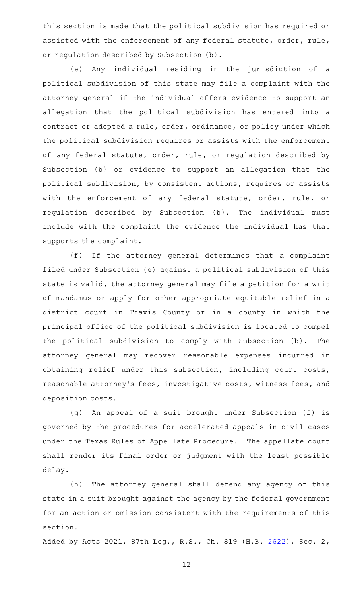this section is made that the political subdivision has required or assisted with the enforcement of any federal statute, order, rule, or regulation described by Subsection (b).

(e)AAAny individual residing in the jurisdiction of a political subdivision of this state may file a complaint with the attorney general if the individual offers evidence to support an allegation that the political subdivision has entered into a contract or adopted a rule, order, ordinance, or policy under which the political subdivision requires or assists with the enforcement of any federal statute, order, rule, or regulation described by Subsection (b) or evidence to support an allegation that the political subdivision, by consistent actions, requires or assists with the enforcement of any federal statute, order, rule, or regulation described by Subsection (b). The individual must include with the complaint the evidence the individual has that supports the complaint.

(f) If the attorney general determines that a complaint filed under Subsection (e) against a political subdivision of this state is valid, the attorney general may file a petition for a writ of mandamus or apply for other appropriate equitable relief in a district court in Travis County or in a county in which the principal office of the political subdivision is located to compel the political subdivision to comply with Subsection (b). The attorney general may recover reasonable expenses incurred in obtaining relief under this subsection, including court costs, reasonable attorney 's fees, investigative costs, witness fees, and deposition costs.

(g) An appeal of a suit brought under Subsection (f) is governed by the procedures for accelerated appeals in civil cases under the Texas Rules of Appellate Procedure. The appellate court shall render its final order or judgment with the least possible delay.

(h) The attorney general shall defend any agency of this state in a suit brought against the agency by the federal government for an action or omission consistent with the requirements of this section.

Added by Acts 2021, 87th Leg., R.S., Ch. 819 (H.B. [2622](http://www.legis.state.tx.us/tlodocs/87R/billtext/html/HB02622F.HTM)), Sec. 2,